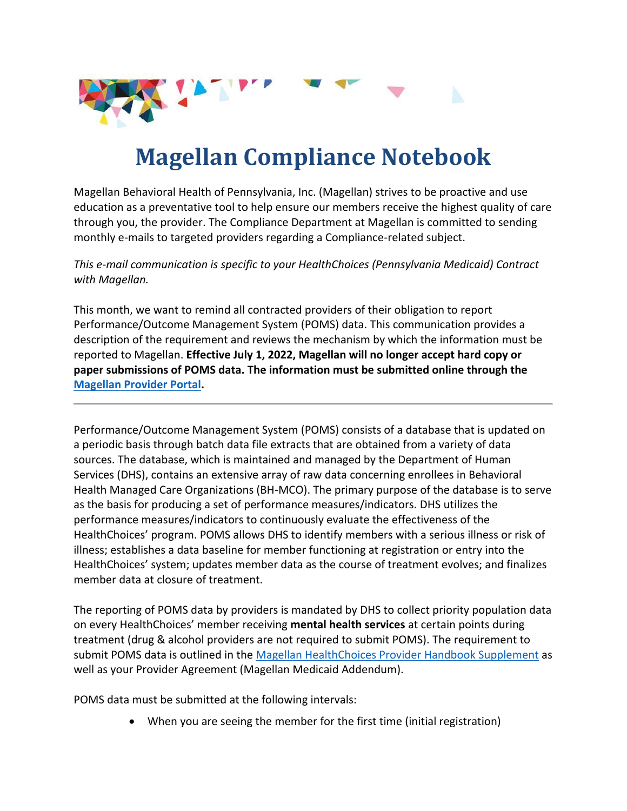

## **Magellan Compliance Notebook**

Magellan Behavioral Health of Pennsylvania, Inc. (Magellan) strives to be proactive and use education as a preventative tool to help ensure our members receive the highest quality of care through you, the provider. The Compliance Department at Magellan is committed to sending monthly e-mails to targeted providers regarding a Compliance-related subject.

*This e-mail communication is specific to your HealthChoices (Pennsylvania Medicaid) Contract with Magellan.*

This month, we want to remind all contracted providers of their obligation to report Performance/Outcome Management System (POMS) data. This communication provides a description of the requirement and reviews the mechanism by which the information must be reported to Magellan. **Effective July 1, 2022, Magellan will no longer accept hard copy or paper submissions of POMS data. The information must be submitted online through the [Magellan Provider Portal.](http://www.magellanprovider.com/)**

Performance/Outcome Management System (POMS) consists of a database that is updated on a periodic basis through batch data file extracts that are obtained from a variety of data sources. The database, which is maintained and managed by the Department of Human Services (DHS), contains an extensive array of raw data concerning enrollees in Behavioral Health Managed Care Organizations (BH-MCO). The primary purpose of the database is to serve as the basis for producing a set of performance measures/indicators. DHS utilizes the performance measures/indicators to continuously evaluate the effectiveness of the HealthChoices' program. POMS allows DHS to identify members with a serious illness or risk of illness; establishes a data baseline for member functioning at registration or entry into the HealthChoices' system; updates member data as the course of treatment evolves; and finalizes member data at closure of treatment.

The reporting of POMS data by providers is mandated by DHS to collect priority population data on every HealthChoices' member receiving **mental health services** at certain points during treatment (drug & alcohol providers are not required to submit POMS). The requirement to submit POMS data is outlined in the [Magellan HealthChoices Provider Handbook Supplement](https://www.magellanprovider.com/media/1661/pa_healthchoices_supp.pdf) as well as your Provider Agreement (Magellan Medicaid Addendum).

POMS data must be submitted at the following intervals:

• When you are seeing the member for the first time (initial registration)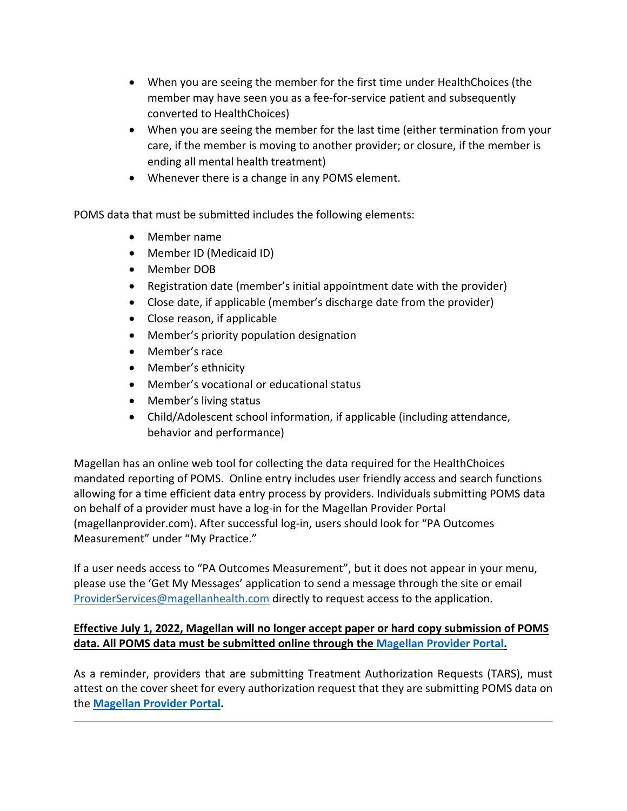- When you are seeing the member for the first time under HealthChoices (the member may have seen you as a fee-for-service patient and subsequently converted to HealthChoices)
- When you are seeing the member for the last time (either termination from your care, if the member is moving to another provider; or closure, if the member is ending all mental health treatment)
- Whenever there is a change in any POMS element.

POMS data that must be submitted includes the following elements:

- Member name
- Member ID (Medicaid ID)
- Member DOB
- Registration date (member's initial appointment date with the provider)
- Close date, if applicable (member's discharge date from the provider)
- Close reason, if applicable
- Member's priority population designation
- Member's race
- Member's ethnicity
- Member's vocational or educational status
- Member's living status
- Child/Adolescent school information, if applicable (including attendance, behavior and performance)

Magellan has an online web tool for collecting the data required for the HealthChoices mandated reporting of POMS. Online entry includes user friendly access and search functions allowing for a time efficient data entry process by providers. Individuals submitting POMS data on behalf of a provider must have a log-in for the Magellan Provider Portal (magellanprovider.com). After successful log-in, users should look for "PA Outcomes Measurement" under "My Practice."

If a user needs access to "PA Outcomes Measurement", but it does not appear in your menu, please use the 'Get My Messages' application to send a message through the site or email [ProviderServices@magellanhealth.com](mailto:ProviderServices@magellanhealth.com) directly to request access to the application.

## **Effective July 1, 2022, Magellan will no longer accept paper or hard copy submission of POMS data. All POMS data must be submitted online through the [Magellan Provider Portal.](http://www.magellanprovider.com/)**

As a reminder, providers that are submitting Treatment Authorization Requests (TARS), must attest on the cover sheet for every authorization request that they are submitting POMS data on the **[Magellan Provider Portal.](http://www.magellanprovider.com/)**